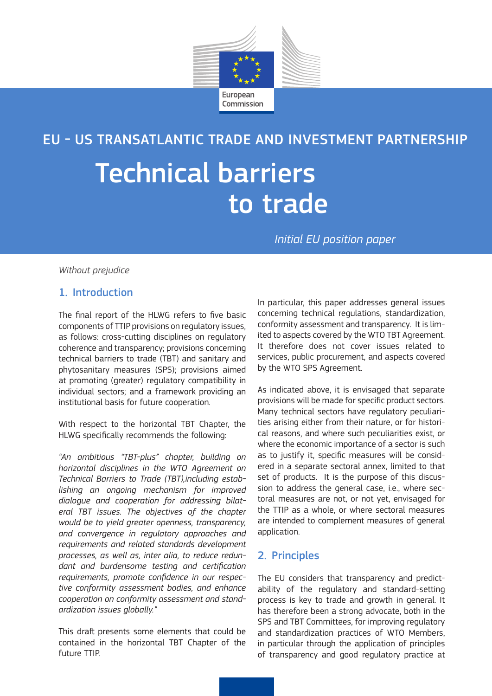

EU - US TRANSATLANTIC TRADE AND INVESTMENT PARTNERSHIP

# Technical barriers to trade

*Initial EU position paper*

*Without prejudice*

# 1. Introduction

The final report of the HLWG refers to five basic components of TTIP provisions on regulatory issues, as follows: cross-cutting disciplines on regulatory coherence and transparency; provisions concerning technical barriers to trade (TBT) and sanitary and phytosanitary measures (SPS); provisions aimed at promoting (greater) regulatory compatibility in individual sectors; and a framework providing an institutional basis for future cooperation.

With respect to the horizontal TBT Chapter, the HLWG specifically recommends the following:

*"An ambitious "TBT-plus" chapter, building on horizontal disciplines in the WTO Agreement on Technical Barriers to Trade (TBT),including establishing an ongoing mechanism for improved dialogue and cooperation for addressing bilateral TBT issues. The objectives of the chapter would be to yield greater openness, transparency, and convergence in regulatory approaches and requirements and related standards development processes, as well as, inter alia, to reduce redundant and burdensome testing and certification requirements, promote confidence in our respective conformity assessment bodies, and enhance cooperation on conformity assessment and standardization issues globally."*

This draft presents some elements that could be contained in the horizontal TBT Chapter of the future TTIP.

In particular, this paper addresses general issues concerning technical regulations, standardization, conformity assessment and transparency. It is limited to aspects covered by the WTO TBT Agreement. It therefore does not cover issues related to services, public procurement, and aspects covered by the WTO SPS Agreement.

As indicated above, it is envisaged that separate provisions will be made for specific product sectors. Many technical sectors have regulatory peculiarities arising either from their nature, or for historical reasons, and where such peculiarities exist, or where the economic importance of a sector is such as to justify it, specific measures will be considered in a separate sectoral annex, limited to that set of products. It is the purpose of this discussion to address the general case, i.e., where sectoral measures are not, or not yet, envisaged for the TTIP as a whole, or where sectoral measures are intended to complement measures of general application.

# 2. Principles

The EU considers that transparency and predictability of the regulatory and standard-setting process is key to trade and growth in general. It has therefore been a strong advocate, both in the SPS and TBT Committees, for improving regulatory and standardization practices of WTO Members, in particular through the application of principles of transparency and good regulatory practice at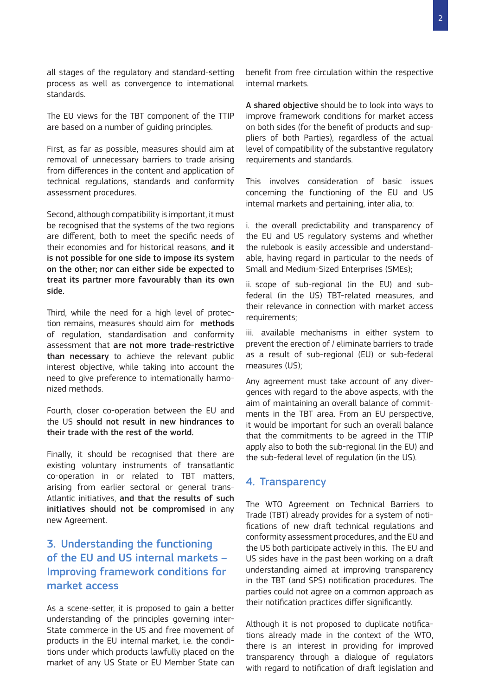all stages of the regulatory and standard-setting process as well as convergence to international standards.

The EU views for the TBT component of the TTIP are based on a number of guiding principles.

First, as far as possible, measures should aim at removal of unnecessary barriers to trade arising from differences in the content and application of technical regulations, standards and conformity assessment procedures.

Second, although compatibility is important, it must be recognised that the systems of the two regions are different, both to meet the specific needs of their economies and for historical reasons, and it is not possible for one side to impose its system on the other; nor can either side be expected to treat its partner more favourably than its own side.

Third, while the need for a high level of protection remains, measures should aim for methods of regulation, standardisation and conformity assessment that are not more trade-restrictive than necessary to achieve the relevant public interest objective, while taking into account the need to give preference to internationally harmonized methods.

Fourth, closer co-operation between the EU and the US should not result in new hindrances to their trade with the rest of the world.

Finally, it should be recognised that there are existing voluntary instruments of transatlantic co-operation in or related to TBT matters, arising from earlier sectoral or general trans-Atlantic initiatives, and that the results of such initiatives should not be compromised in any new Agreement.

# 3. Understanding the functioning of the EU and US internal markets – Improving framework conditions for market access

As a scene-setter, it is proposed to gain a better understanding of the principles governing inter-State commerce in the US and free movement of products in the EU internal market, i.e. the conditions under which products lawfully placed on the market of any US State or EU Member State can benefit from free circulation within the respective internal markets.

A shared objective should be to look into ways to improve framework conditions for market access on both sides (for the benefit of products and suppliers of both Parties), regardless of the actual level of compatibility of the substantive regulatory requirements and standards.

This involves consideration of basic issues concerning the functioning of the EU and US internal markets and pertaining, inter alia, to:

i. the overall predictability and transparency of the EU and US regulatory systems and whether the rulebook is easily accessible and understandable, having regard in particular to the needs of Small and Medium-Sized Enterprises (SMEs);

ii. scope of sub-regional (in the EU) and subfederal (in the US) TBT-related measures, and their relevance in connection with market access requirements;

iii. available mechanisms in either system to prevent the erection of / eliminate barriers to trade as a result of sub-regional (EU) or sub-federal measures (US);

Any agreement must take account of any divergences with regard to the above aspects, with the aim of maintaining an overall balance of commitments in the TBT area. From an EU perspective, it would be important for such an overall balance that the commitments to be agreed in the TTIP apply also to both the sub-regional (in the EU) and the sub-federal level of regulation (in the US).

#### 4. Transparency

The WTO Agreement on Technical Barriers to Trade (TBT) already provides for a system of notifications of new draft technical regulations and conformity assessment procedures, and the EU and the US both participate actively in this. The EU and US sides have in the past been working on a draft understanding aimed at improving transparency in the TBT (and SPS) notification procedures. The parties could not agree on a common approach as their notification practices differ significantly.

Although it is not proposed to duplicate notifications already made in the context of the WTO, there is an interest in providing for improved transparency through a dialogue of regulators with regard to notification of draft legislation and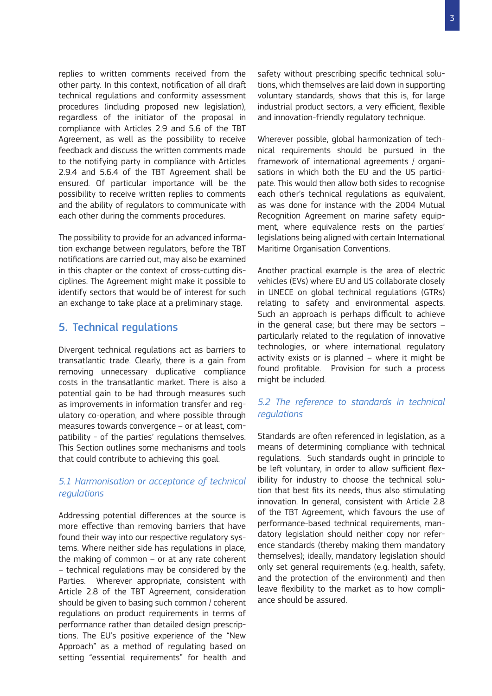replies to written comments received from the other party. In this context, notification of all draft technical regulations and conformity assessment procedures (including proposed new legislation), regardless of the initiator of the proposal in compliance with Articles 2.9 and 5.6 of the TBT Agreement, as well as the possibility to receive feedback and discuss the written comments made to the notifying party in compliance with Articles 2.9.4 and 5.6.4 of the TBT Agreement shall be ensured. Of particular importance will be the possibility to receive written replies to comments and the ability of regulators to communicate with each other during the comments procedures.

The possibility to provide for an advanced information exchange between regulators, before the TBT notifications are carried out, may also be examined in this chapter or the context of cross-cutting disciplines. The Agreement might make it possible to identify sectors that would be of interest for such an exchange to take place at a preliminary stage.

#### 5. Technical regulations

Divergent technical regulations act as barriers to transatlantic trade. Clearly, there is a gain from removing unnecessary duplicative compliance costs in the transatlantic market. There is also a potential gain to be had through measures such as improvements in information transfer and regulatory co-operation, and where possible through measures towards convergence – or at least, compatibility - of the parties' regulations themselves. This Section outlines some mechanisms and tools that could contribute to achieving this goal.

#### *5.1 Harmonisation or acceptance of technical regulations*

Addressing potential differences at the source is more effective than removing barriers that have found their way into our respective regulatory systems. Where neither side has regulations in place, the making of common – or at any rate coherent – technical regulations may be considered by the Parties. Wherever appropriate, consistent with Article 2.8 of the TBT Agreement, consideration should be given to basing such common / coherent regulations on product requirements in terms of performance rather than detailed design prescriptions. The EU's positive experience of the "New Approach" as a method of regulating based on setting "essential requirements" for health and safety without prescribing specific technical solutions, which themselves are laid down in supporting voluntary standards, shows that this is, for large industrial product sectors, a very efficient, flexible and innovation-friendly regulatory technique.

Wherever possible, global harmonization of technical requirements should be pursued in the framework of international agreements / organisations in which both the EU and the US participate. This would then allow both sides to recognise each other's technical regulations as equivalent, as was done for instance with the 2004 Mutual Recognition Agreement on marine safety equipment, where equivalence rests on the parties' legislations being aligned with certain International Maritime Organisation Conventions.

Another practical example is the area of electric vehicles (EVs) where EU and US collaborate closely in UNECE on global technical regulations (GTRs) relating to safety and environmental aspects. Such an approach is perhaps difficult to achieve in the general case; but there may be sectors – particularly related to the regulation of innovative technologies, or where international regulatory activity exists or is planned – where it might be found profitable. Provision for such a process might be included.

#### *5.2 The reference to standards in technical regulations*

Standards are often referenced in legislation, as a means of determining compliance with technical regulations. Such standards ought in principle to be left voluntary, in order to allow sufficient flexibility for industry to choose the technical solution that best fits its needs, thus also stimulating innovation. In general, consistent with Article 2.8 of the TBT Agreement, which favours the use of performance-based technical requirements, mandatory legislation should neither copy nor reference standards (thereby making them mandatory themselves); ideally, mandatory legislation should only set general requirements (e.g. health, safety, and the protection of the environment) and then leave flexibility to the market as to how compliance should be assured.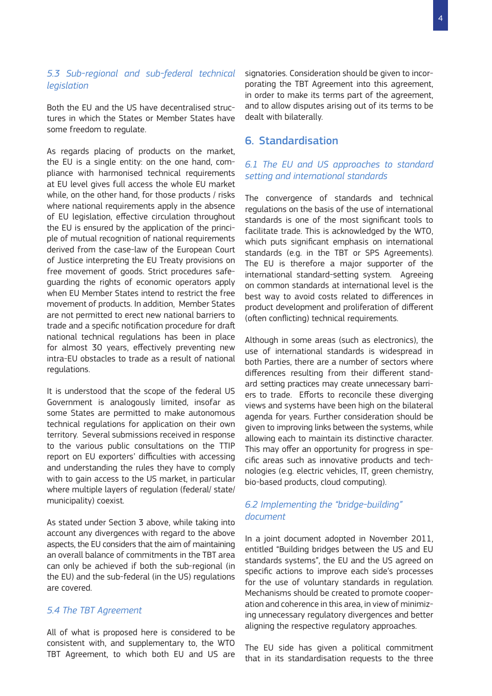#### *5.3 Sub-regional and sub-federal technical legislation*

Both the EU and the US have decentralised structures in which the States or Member States have some freedom to regulate.

As regards placing of products on the market, the EU is a single entity: on the one hand, compliance with harmonised technical requirements at EU level gives full access the whole EU market while, on the other hand, for those products / risks where national requirements apply in the absence of EU legislation, effective circulation throughout the EU is ensured by the application of the principle of mutual recognition of national requirements derived from the case-law of the European Court of Justice interpreting the EU Treaty provisions on free movement of goods. Strict procedures safeguarding the rights of economic operators apply when EU Member States intend to restrict the free movement of products. In addition, Member States are not permitted to erect new national barriers to trade and a specific notification procedure for draft national technical regulations has been in place for almost 30 years, effectively preventing new intra-EU obstacles to trade as a result of national regulations.

It is understood that the scope of the federal US Government is analogously limited, insofar as some States are permitted to make autonomous technical regulations for application on their own territory. Several submissions received in response to the various public consultations on the TTIP report on EU exporters' difficulties with accessing and understanding the rules they have to comply with to gain access to the US market, in particular where multiple layers of regulation (federal/ state/ municipality) coexist.

As stated under Section 3 above, while taking into account any divergences with regard to the above aspects, the EU considers that the aim of maintaining an overall balance of commitments in the TBT area can only be achieved if both the sub-regional (in the EU) and the sub-federal (in the US) regulations are covered.

#### *5.4 The TBT Agreement*

All of what is proposed here is considered to be consistent with, and supplementary to, the WTO TBT Agreement, to which both EU and US are signatories. Consideration should be given to incorporating the TBT Agreement into this agreement, in order to make its terms part of the agreement, and to allow disputes arising out of its terms to be dealt with bilaterally.

# 6. Standardisation

## *6.1 The EU and US approaches to standard setting and international standards*

The convergence of standards and technical regulations on the basis of the use of international standards is one of the most significant tools to facilitate trade. This is acknowledged by the WTO, which puts significant emphasis on international standards (e.g. in the TBT or SPS Agreements). The EU is therefore a major supporter of the international standard-setting system. Agreeing on common standards at international level is the best way to avoid costs related to differences in product development and proliferation of different (often conflicting) technical requirements.

Although in some areas (such as electronics), the use of international standards is widespread in both Parties, there are a number of sectors where differences resulting from their different standard setting practices may create unnecessary barriers to trade. Efforts to reconcile these diverging views and systems have been high on the bilateral agenda for years. Further consideration should be given to improving links between the systems, while allowing each to maintain its distinctive character. This may offer an opportunity for progress in specific areas such as innovative products and technologies (e.g. electric vehicles, IT, green chemistry, bio-based products, cloud computing).

## *6.2 Implementing the "bridge-building" document*

In a joint document adopted in November 2011, entitled "Building bridges between the US and EU standards systems", the EU and the US agreed on specific actions to improve each side's processes for the use of voluntary standards in regulation. Mechanisms should be created to promote cooperation and coherence in this area, in view of minimizing unnecessary regulatory divergences and better aligning the respective regulatory approaches.

The EU side has given a political commitment that in its standardisation requests to the three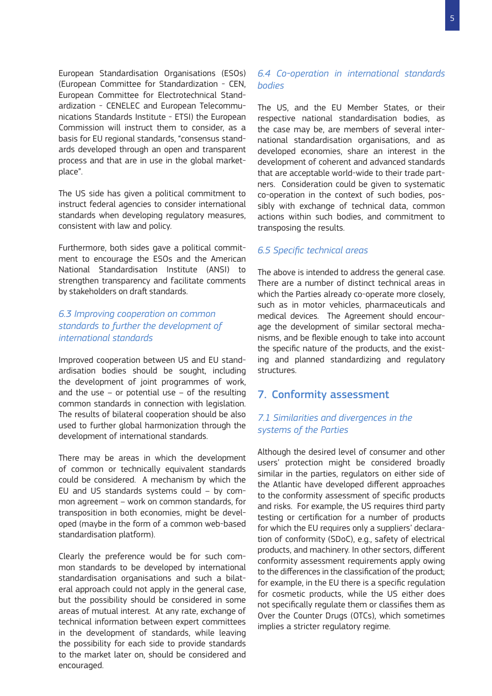European Standardisation Organisations (ESOs) (European Committee for Standardization - CEN, European Committee for Electrotechnical Standardization - CENELEC and European Telecommunications Standards Institute - ETSI) the European Commission will instruct them to consider, as a basis for EU regional standards, "consensus standards developed through an open and transparent process and that are in use in the global marketplace".

The US side has given a political commitment to instruct federal agencies to consider international standards when developing regulatory measures, consistent with law and policy.

Furthermore, both sides gave a political commitment to encourage the ESOs and the American National Standardisation Institute (ANSI) to strengthen transparency and facilitate comments by stakeholders on draft standards.

#### *6.3 Improving cooperation on common standards to further the development of international standards*

Improved cooperation between US and EU standardisation bodies should be sought, including the development of joint programmes of work, and the use  $-$  or potential use  $-$  of the resulting common standards in connection with legislation. The results of bilateral cooperation should be also used to further global harmonization through the development of international standards.

There may be areas in which the development of common or technically equivalent standards could be considered. A mechanism by which the EU and US standards systems could – by common agreement – work on common standards, for transposition in both economies, might be developed (maybe in the form of a common web-based standardisation platform).

Clearly the preference would be for such common standards to be developed by international standardisation organisations and such a bilateral approach could not apply in the general case, but the possibility should be considered in some areas of mutual interest. At any rate, exchange of technical information between expert committees in the development of standards, while leaving the possibility for each side to provide standards to the market later on, should be considered and encouraged.

#### *6.4 Co-operation in international standards bodies*

The US, and the EU Member States, or their respective national standardisation bodies, as the case may be, are members of several international standardisation organisations, and as developed economies, share an interest in the development of coherent and advanced standards that are acceptable world-wide to their trade partners. Consideration could be given to systematic co-operation in the context of such bodies, possibly with exchange of technical data, common actions within such bodies, and commitment to transposing the results.

#### *6.5 Specific technical areas*

The above is intended to address the general case. There are a number of distinct technical areas in which the Parties already co-operate more closely, such as in motor vehicles, pharmaceuticals and medical devices. The Agreement should encourage the development of similar sectoral mechanisms, and be flexible enough to take into account the specific nature of the products, and the existing and planned standardizing and regulatory structures.

## 7. Conformity assessment

#### *7.1 Similarities and divergences in the systems of the Parties*

Although the desired level of consumer and other users' protection might be considered broadly similar in the parties, regulators on either side of the Atlantic have developed different approaches to the conformity assessment of specific products and risks. For example, the US requires third party testing or certification for a number of products for which the EU requires only a suppliers' declaration of conformity (SDoC), e.g., safety of electrical products, and machinery. In other sectors, different conformity assessment requirements apply owing to the differences in the classification of the product; for example, in the EU there is a specific regulation for cosmetic products, while the US either does not specifically regulate them or classifies them as Over the Counter Drugs (OTCs), which sometimes implies a stricter regulatory regime.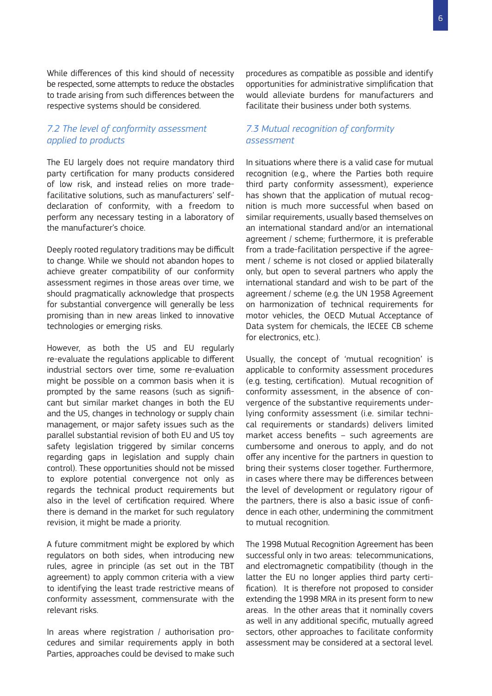While differences of this kind should of necessity be respected, some attempts to reduce the obstacles to trade arising from such differences between the respective systems should be considered.

#### *7.2 The level of conformity assessment applied to products*

The EU largely does not require mandatory third party certification for many products considered of low risk, and instead relies on more tradefacilitative solutions, such as manufacturers' selfdeclaration of conformity, with a freedom to perform any necessary testing in a laboratory of the manufacturer's choice.

Deeply rooted regulatory traditions may be difficult to change. While we should not abandon hopes to achieve greater compatibility of our conformity assessment regimes in those areas over time, we should pragmatically acknowledge that prospects for substantial convergence will generally be less promising than in new areas linked to innovative technologies or emerging risks.

However, as both the US and EU regularly re-evaluate the regulations applicable to different industrial sectors over time, some re-evaluation might be possible on a common basis when it is prompted by the same reasons (such as significant but similar market changes in both the EU and the US, changes in technology or supply chain management, or major safety issues such as the parallel substantial revision of both EU and US toy safety legislation triggered by similar concerns regarding gaps in legislation and supply chain control). These opportunities should not be missed to explore potential convergence not only as regards the technical product requirements but also in the level of certification required. Where there is demand in the market for such regulatory revision, it might be made a priority.

A future commitment might be explored by which regulators on both sides, when introducing new rules, agree in principle (as set out in the TBT agreement) to apply common criteria with a view to identifying the least trade restrictive means of conformity assessment, commensurate with the relevant risks.

In areas where registration / authorisation procedures and similar requirements apply in both Parties, approaches could be devised to make such procedures as compatible as possible and identify opportunities for administrative simplification that would alleviate burdens for manufacturers and facilitate their business under both systems.

#### *7.3 Mutual recognition of conformity assessment*

In situations where there is a valid case for mutual recognition (e.g., where the Parties both require third party conformity assessment), experience has shown that the application of mutual recognition is much more successful when based on similar requirements, usually based themselves on an international standard and/or an international agreement / scheme; furthermore, it is preferable from a trade-facilitation perspective if the agreement / scheme is not closed or applied bilaterally only, but open to several partners who apply the international standard and wish to be part of the agreement / scheme (e.g. the UN 1958 Agreement on harmonization of technical requirements for motor vehicles, the OECD Mutual Acceptance of Data system for chemicals, the IECEE CB scheme for electronics, etc.).

Usually, the concept of 'mutual recognition' is applicable to conformity assessment procedures (e.g. testing, certification). Mutual recognition of conformity assessment, in the absence of convergence of the substantive requirements underlying conformity assessment (i.e. similar technical requirements or standards) delivers limited market access benefits – such agreements are cumbersome and onerous to apply, and do not offer any incentive for the partners in question to bring their systems closer together. Furthermore, in cases where there may be differences between the level of development or regulatory rigour of the partners, there is also a basic issue of confidence in each other, undermining the commitment to mutual recognition.

The 1998 Mutual Recognition Agreement has been successful only in two areas: telecommunications, and electromagnetic compatibility (though in the latter the EU no longer applies third party certification). It is therefore not proposed to consider extending the 1998 MRA in its present form to new areas. In the other areas that it nominally covers as well in any additional specific, mutually agreed sectors, other approaches to facilitate conformity assessment may be considered at a sectoral level.